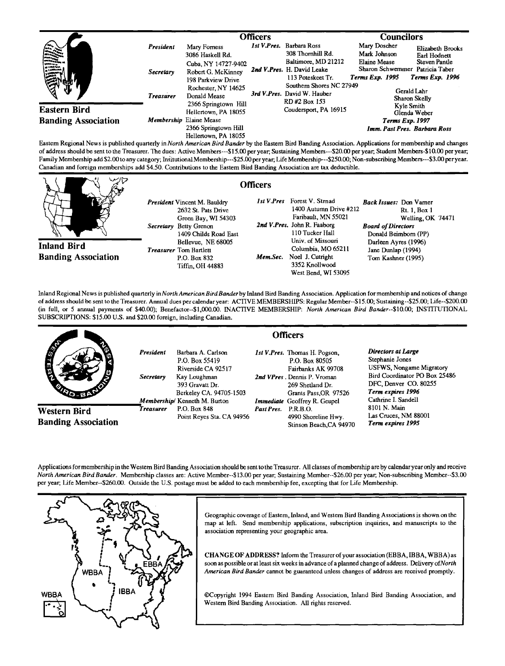|                                                                                                                                                                                                                                |                         | Officers                                                        |  |                                                                         | <b>Councilors</b>                                                  |                                         |
|--------------------------------------------------------------------------------------------------------------------------------------------------------------------------------------------------------------------------------|-------------------------|-----------------------------------------------------------------|--|-------------------------------------------------------------------------|--------------------------------------------------------------------|-----------------------------------------|
| $\mathcal{L}^{\text{max}}$ , $\mathcal{L}^{\text{max}}$ ,                                                                                                                                                                      | President               | Mary Forness<br>3086 Haskell Rd.                                |  | Ist V.Pres. Barbara Ross<br>308 Thornhill Rd.                           | Mary Doscher<br>Mark Johnson                                       | Elizabeth Brooks<br>Earl Hodnett        |
| en herenne<br>Vittorienne<br>Marianne<br><b>Eastern Bird</b>                                                                                                                                                                   | Secretary               | Cuba, NY 14727-9402<br>Robert G. McKinney<br>198 Parkview Drive |  | Baltimore, MD 21212<br>2nd V.Pres. H. David Leake<br>113 Poteskeet Tr.  | Elaine Mease<br>Sharon Schwemmer Patricia Taber<br>Terms Exp. 1995 | <b>Steven Pantle</b><br>Terms Exp. 1996 |
|                                                                                                                                                                                                                                | <b>Treasurer</b>        | Rochester, NY 14625<br>Donald Mease<br>2366 Springtown Hill     |  | Southern Shores NC 27949<br>3rd V.Pres. David W. Hauber<br>RD#2 Box 153 | Gerald Lahr<br>Sharon Skelly<br>Kyle Smith                         |                                         |
|                                                                                                                                                                                                                                |                         | Hellertown, PA 18055                                            |  | Coudersport, PA 16915                                                   |                                                                    | Glenda Weber                            |
| <b>Banding Association</b>                                                                                                                                                                                                     | Membership Elaine Mease |                                                                 |  |                                                                         | Terms Exp. 1997                                                    |                                         |
| These Theodor AND international control and a control of the Control Theodor Archives of the Control of the Control of the Control of the Control of the Control of the Control of the Control of the Control of the Control o |                         | 2366 Springtown Hill<br>Hellertown, PA 18055                    |  |                                                                         |                                                                    | Imm. Past Pres. Barbara Ross            |

**Eastern Regional News is published quarterly in North American Bird Bander by the Eastern Bird Banding Assoration. Applications for membership and changes of address should be sent to the Treasurer. The dues: Active Members---\$15.00 per year, Sustaining Members---S20.00 per year, Student Members-\$10.00 per year;**  Family Membership add \$2.00 to any category; Insitutional Membership---\$25.00 per year; Life Membership---\$250.00; Non-subscribing Members---\$3.00 per year. **Canadian and foreign memberships add \$4.50. Contributions to the Eastern Bird Banding Association are tax deductible.** 

**Officers** 

**Inland Bird Banding Association** 

- **President Vincent M. Bauldry 2632 St. Pats Drive Green Bay, WI 54303 Secretary Betty Grenon 1409 Childs Road East Bellevue, NE 68005 Treasurer Tom Bartlett P.O. Box 832 Tiffin, OH 44883**
- **1st V.Pres Forest V. Stmad 1400 Autumn Drive #212 Faribault, MN 55021 2rid V. Pres. John R. Faaborg 110 Tucker Hall Univ. of Missouri Columbia, MO 65211**  Mem.Sec. Noel J. Cutright **3352 Knollwood West Bend, WI 53095 Back Issues: Don Vamer Rt. 1, Box 1 Welling, OK 74471 Board of Directors Donald Beimbom (PP)**  Darleen Ayres (1996) **Jane Dunlap (1994) Tern Kashner (1995)**

**Inland Regional News is published quarterly inNorth American Bird Banderby Inland Bird Banding Association. Application for membership and notices of change**  of address should be sent to the Treasurer. Annual dues per calendar year: ACTIVE MEMBERSHIPS: Regular Member--\$15.00; Sustaining--\$25.00; Life--\$200.00 (in full, or 5 annual payments of \$40.00); Benefactor--\$1,000.00. INACTIVE MEMBERSHIP: North American Bird Bander--\$10.00; INSTITUTIONAL **SUBSCRIPTIONS: \$15.00 U.S. and \$20.00 foreign, including Canadian.** 

|                                            |                                      |                                                                                                                          |                     | <b>Officers</b>                                                                                                                                   |                                                                                                                                                                                |
|--------------------------------------------|--------------------------------------|--------------------------------------------------------------------------------------------------------------------------|---------------------|---------------------------------------------------------------------------------------------------------------------------------------------------|--------------------------------------------------------------------------------------------------------------------------------------------------------------------------------|
| <b>AND</b>                                 | <b>President</b><br><b>Secretary</b> | Barbara A. Carlson<br>P.O. Box 55419<br>Riverside CA 92517<br>Kay Loughman<br>393 Gravatt Dr.<br>Berkeley CA. 94705-1503 |                     | 1st V.Pres. Thomas H. Pogson,<br>P.O. Box 80505<br>Fairbanks AK 99708<br>2nd VPres. Dennis P. Vroman<br>269 Shetland Dr.<br>Grants Pass, OR 97526 | Directors at Large<br>Stephanie Jones<br><b>USFWS, Nongame Migratory</b><br>Bird Coordinator PO Box 25486<br>DFC, Denver CO. 80255<br>Term expires 1996<br>Cathrine I. Sandell |
| Western Bird<br><b>Banding Association</b> | Treasurer                            | Membership/ Kenneth M. Burton<br>P.O. Box 848<br>Point Reyes Sta. CA 94956                                               | Past Pres. P.R.B.O. | <b>Immediate</b> Geoffrey R. Geupel<br>4990 Shoreline Hwy.<br>Stinson Beach, CA 94970                                                             | 8101 N. Main<br>Las Cruces, NM 88001<br>Term expires 1995                                                                                                                      |

Applications for membership in the Western Bird Banding Association should be sent to the Treasurer. All classes of membership are by calendar year only and receive **North American Bird Bander. Membership classes are: Active Member--\$13.00 per year; Sustaining Member--S26.00 per year, Non-subscribing Member--S3.00 per year, Life Member--S260.00. Outside the U.S. postage must be added to each membership fee, excepting that for Life Membership.** 



**Geographic coverage of Eastern, Inland, and Westem Bird Banding Associations is shown on the map at left. Send membership applications, subscription iquiries, and manuscripts to the association representing your geographic area.** 

**CHANGE OF ADDRESS? Inform the Treasurer of your association (EBBA, IBBA, WBBA) as soon as possible or at least six weeks in advance of a planned change of address. Delivery of North American Bird Bander cannot be guaranteed unless changes of address are received promptly.** 

©Copyright 1994 Eastern Bird Banding Association, Inland Bird Banding Association, and **Western Bird Banding Association. All rights reserved.**